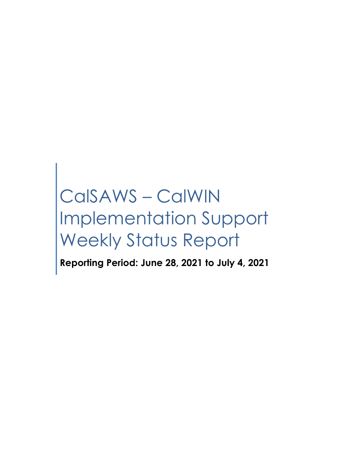# CalSAWS – CalWIN Implementation Support Weekly Status Report

**Reporting Period: June 28, 2021 to July 4, 2021**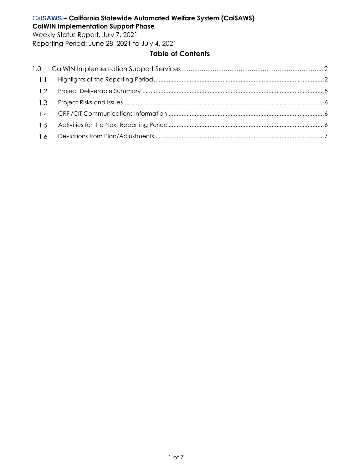Weekly Status Report, July 7, 2021 Reporting Period: June 28, 2021 to July 4, 2021

# **Table of Contents**

| $-1.1$ |  |
|--------|--|
| 1.2    |  |
| 1.3    |  |
| 1.4    |  |
| 1.5    |  |
| 1.6    |  |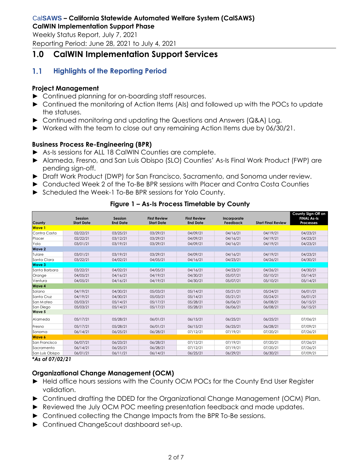Weekly Status Report, July 7, 2021 Reporting Period: June 28, 2021 to July 4, 2021

# <span id="page-2-0"></span>**1.0 CalWIN Implementation Support Services**

#### <span id="page-2-1"></span> $1.1$ **Highlights of the Reporting Period**

# **Project Management**

- ► Continued planning for on-boarding staff resources.
- ► Continued the monitoring of Action Items (AIs) and followed up with the POCs to update the statuses.
- ► Continued monitoring and updating the Questions and Answers (Q&A) Log.
- ► Worked with the team to close out any remaining Action Items due by 06/30/21.

# **Business Process Re-Engineering (BPR)**

- ► As-Is sessions for ALL 18 CalWIN Counties are complete.
- ► Alameda, Fresno, and San Luis Obispo (SLO) Counties' As-Is Final Work Product (FWP) are pending sign-off.
- ► Draft Work Product (DWP) for San Francisco, Sacramento, and Sonoma under review.
- ► Conducted Week 2 of the To-Be BPR sessions with Placer and Contra Costa Counties
- ► Scheduled the Week-1 To-Be BPR sessions for Yolo County.

|                 |                              |                            |                                          |                                        |                         |                           | County Sign-Off on                     |
|-----------------|------------------------------|----------------------------|------------------------------------------|----------------------------------------|-------------------------|---------------------------|----------------------------------------|
| County          | Session<br><b>Start Date</b> | Session<br><b>End Date</b> | <b>First Review</b><br><b>Start Date</b> | <b>First Review</b><br><b>End Date</b> | Incorporate<br>Feedback | <b>Start Final Review</b> | <b>FINAL As-Is</b><br><b>Processes</b> |
| <b>Wave 1</b>   |                              |                            |                                          |                                        |                         |                           |                                        |
| Contra Costa    | 02/22/21                     | 03/25/21                   | 03/29/21                                 | 04/09/21                               | 04/16/21                | 04/19/21                  | 04/23/21                               |
| Placer          | 02/22/21                     | 03/12/21                   | 03/29/21                                 | 04/09/21                               | 04/16/21                | 04/19/21                  | 04/23/21                               |
| Yolo            | 03/01/21                     | 03/19/21                   | 03/29/21                                 | 04/09/21                               | 04/16/21                | 04/19/21                  | 04/23/21                               |
| <b>Wave 2</b>   |                              |                            |                                          |                                        |                         |                           |                                        |
| Tulare          | 03/01/21                     | 03/19/21                   | 03/29/21                                 | 04/09/21                               | 04/16/21                | 04/19/21                  | 04/23/21                               |
| Santa Clara     | 03/22/21                     | 04/02/21                   | 04/05/21                                 | 04/16/21                               | 04/23/21                | 04/26/21                  | 04/30/21                               |
| <b>Wave 3</b>   |                              |                            |                                          |                                        |                         |                           |                                        |
| Santa Barbara   | 03/22/21                     | 04/02/21                   | 04/05/21                                 | 04/16/21                               | 04/23/21                | 04/26/21                  | 04/30/21                               |
| Orange          | 04/05/21                     | 04/16/21                   | 04/19/21                                 | 04/30/21                               | 05/07/21                | 05/10/21                  | 05/14/21                               |
| Ventura         | 04/05/21                     | 04/16/21                   | 04/19/21                                 | 04/30/21                               | 05/07/21                | 05/10/21                  | 05/14/21                               |
| <b>Wave 4</b>   |                              |                            |                                          |                                        |                         |                           |                                        |
| Solano          | 04/19/21                     | 04/30/21                   | 05/03/21                                 | 05/14/21                               | 05/21/21                | 05/24/21                  | 06/01/21                               |
| Santa Cruz      | 04/19/21                     | 04/30/21                   | 05/03/21                                 | 05/14/21                               | 05/21/21                | 05/24/21                  | 06/01/21                               |
| San Mateo       | 05/03/21                     | 05/14/21                   | 05/17/21                                 | 05/28/21                               | 06/06/21                | 06/08/21                  | 06/15/21                               |
| San Diego       | 05/03/21                     | 05/14/21                   | 05/17/21                                 | 05/28/21                               | 06/06/21                | 06/08/21                  | 06/15/21                               |
| <b>Wave 5</b>   |                              |                            |                                          |                                        |                         |                           |                                        |
| Alameda         | 05/17/21                     | 05/28/21                   | 06/01/21                                 | 06/15/21                               | 06/25/21                | 06/25/21                  | 07/06/21                               |
| Fresno          | 05/17/21                     | 05/28/21                   | 06/01/21                                 | 06/15/21                               | 06/25/21                | 06/28/21                  | 07/09/21                               |
| Sonoma          | 06/14/21                     | 06/25/21                   | 06/28/21                                 | 07/12/21                               | 07/19/21                | 07/20/21                  | 07/26/21                               |
| <b>Wave 6</b>   |                              |                            |                                          |                                        |                         |                           |                                        |
| San Francisco   | 06/07/21                     | 06/23/21                   | 06/28/21                                 | 07/12/21                               | 07/19/21                | 07/20/21                  | 07/26/21                               |
| Sacramento      | 06/14/21                     | 06/25/21                   | 06/28/21                                 | 07/12/21                               | 07/19/21                | 07/20/21                  | 07/26/21                               |
| San Luis Obispo | 06/01/21                     | 06/11/21                   | 06/14/21                                 | 06/25/21                               | 06/29/21                | 06/30/21                  | 07/09/21                               |

# **Figure 1 – As-Is Process Timetable by County**

*\*As of 07/02/21*

# **Organizational Change Management (OCM)**

- ► Held office hours sessions with the County OCM POCs for the County End User Register validation.
- ► Continued drafting the DDED for the Organizational Change Management (OCM) Plan.
- ► Reviewed the July OCM POC meeting presentation feedback and made updates.
- ► Continued collecting the Change Impacts from the BPR To-Be sessions.
- ► Continued ChangeScout dashboard set-up.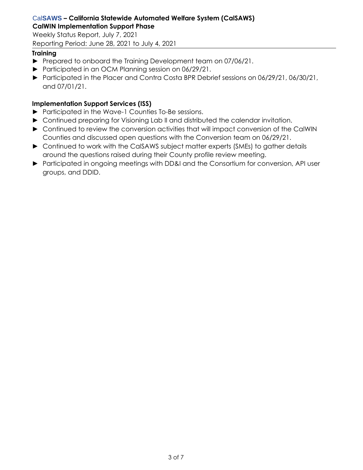Weekly Status Report, July 7, 2021 Reporting Period: June 28, 2021 to July 4, 2021

# **Training**

- ► Prepared to onboard the Training Development team on 07/06/21.
- ► Participated in an OCM Planning session on 06/29/21.
- ► Participated in the Placer and Contra Costa BPR Debrief sessions on 06/29/21, 06/30/21, and 07/01/21.

# **Implementation Support Services (ISS)**

- ► Participated in the Wave-1 Counties To-Be sessions.
- ► Continued preparing for Visioning Lab II and distributed the calendar invitation.
- ► Continued to review the conversion activities that will impact conversion of the CalWIN Counties and discussed open questions with the Conversion team on 06/29/21.
- ► Continued to work with the CalSAWS subject matter experts (SMEs) to gather details around the questions raised during their County profile review meeting.
- ► Participated in ongoing meetings with DD&I and the Consortium for conversion, API user groups, and DDID.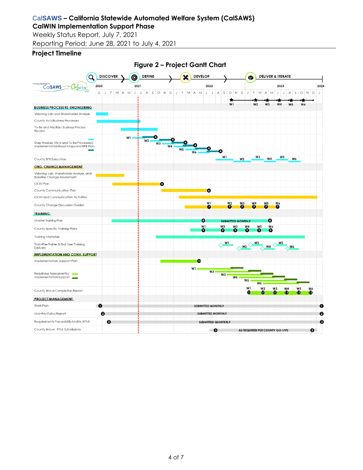Weekly Status Report, July 7, 2021 Reporting Period: June 28, 2021 to July 4, 2021

## **Project Timeline**

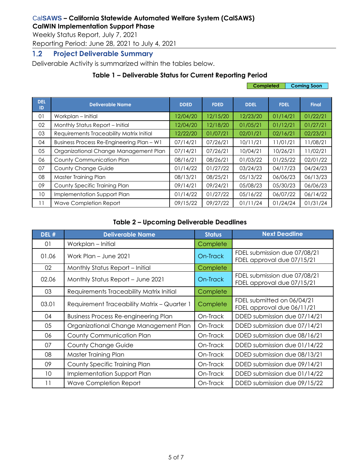Weekly Status Report, July 7, 2021

Reporting Period: June 28, 2021 to July 4, 2021

#### <span id="page-5-0"></span> $1.2$ **Project Deliverable Summary**

Deliverable Activity is summarized within the tables below.

# **Table 1 – Deliverable Status for Current Reporting Period**

|                  |                                           |             |             | <b>Coming Soon</b><br>Completed |             |              |
|------------------|-------------------------------------------|-------------|-------------|---------------------------------|-------------|--------------|
| <b>DEL</b><br>ID | <b>Deliverable Name</b>                   | <b>DDED</b> | <b>FDED</b> | <b>DDEL</b>                     | <b>FDEL</b> | <b>Final</b> |
| 01               | Workplan - Initial                        | 12/04/20    | 12/15/20    | 12/23/20                        | 01/14/21    | 01/22/21     |
| 02               | Monthly Status Report - Initial           | 12/04/20    | 12/18/20    | 01/05/21                        | 01/12/21    | 01/27/21     |
| 03               | Requirements Traceability Matrix Initial  | 12/22/20    | 01/07/21    | 02/01/21                        | 02/16/21    | 02/23/21     |
| 04               | Business Process Re-Engineering Plan - W1 | 07/14/21    | 07/26/21    | 10/11/21                        | 11/01/21    | 11/08/21     |
| 05               | Organizational Change Management Plan     | 07/14/21    | 07/26/21    | 10/04/21                        | 10/26/21    | 11/02/21     |
| 06               | County Communication Plan                 | 08/16/21    | 08/26/21    | 01/03/22                        | 01/25/22    | 02/01/22     |
| 07               | <b>County Change Guide</b>                | 01/14/22    | 01/27/22    | 03/24/23                        | 04/17/23    | 04/24/23     |
| 08               | Master Training Plan                      | 08/13/21    | 08/25/21    | 05/13/22                        | 06/06/23    | 06/13/23     |
| 09               | County Specific Training Plan             | 09/14/21    | 09/24/21    | 05/08/23                        | 05/30/23    | 06/06/23     |
| 10 <sup>°</sup>  | Implementation Support Plan               | 01/14/22    | 01/27/22    | 05/16/22                        | 06/07/22    | 06/14/22     |
| 11               | Wave Completion Report                    | 09/15/22    | 09/27/22    | 01/11/24                        | 01/24/24    | 01/31/24     |

# **Table 2 – Upcoming Deliverable Deadlines**

| DEL # | <b>Deliverable Name</b>                     | <b>Status</b> | <b>Next Deadline</b>                                       |
|-------|---------------------------------------------|---------------|------------------------------------------------------------|
| 01    | Workplan - Initial                          | Complete      |                                                            |
| 01.06 | Work Plan - June 2021                       | On-Track      | FDEL submission due 07/08/21<br>FDEL approval due 07/15/21 |
| 02    | Monthly Status Report - Initial             | Complete      |                                                            |
| 02.06 | Monthly Status Report - June 2021           | On-Track      | FDEL submission due 07/08/21<br>FDEL approval due 07/15/21 |
| 03    | Requirements Traceability Matrix Initial    | Complete      |                                                            |
| 03.01 | Requirement Traceability Matrix - Quarter 1 | Complete      | FDEL submitted on 06/04/21<br>FDEL approval due 06/11/21   |
| 04    | <b>Business Process Re-engineering Plan</b> | On-Track      | DDED submission due 07/14/21                               |
| 05    | Organizational Change Management Plan       | On-Track      | DDED submission due 07/14/21                               |
| 06    | County Communication Plan                   | On-Track      | DDED submission due 08/16/21                               |
| 07    | <b>County Change Guide</b>                  | On-Track      | DDED submission due 01/14/22                               |
| 08    | Master Training Plan                        | On-Track      | DDED submission due 08/13/21                               |
| 09    | County Specific Training Plan               | On-Track      | DDED submission due 09/14/21                               |
| 10    | Implementation Support Plan                 | On-Track      | DDED submission due 01/14/22                               |
| 11    | <b>Wave Completion Report</b>               | On-Track      | DDED submission due 09/15/22                               |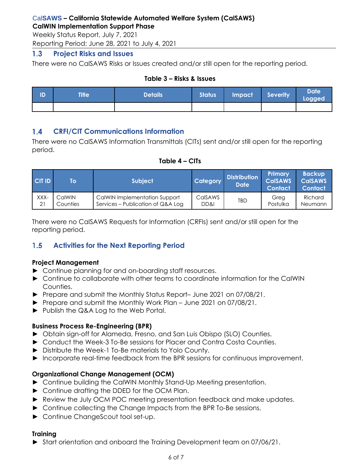Weekly Status Report, July 7, 2021

Reporting Period: June 28, 2021 to July 4, 2021

#### <span id="page-6-0"></span> $1.3$ **Project Risks and Issues**

There were no CalSAWS Risks or Issues created and/or still open for the reporting period.

## **Table 3 – Risks & Issues**

| TD | <b>Title</b> | Details <sup>1</sup> | Status | Impact Severity | <b>Date</b><br>Logged |
|----|--------------|----------------------|--------|-----------------|-----------------------|
|    |              |                      |        |                 |                       |

#### <span id="page-6-1"></span>**CRFI/CIT Communications Information**  $1.4$

There were no CalSAWS Information Transmittals (CITs) sent and/or still open for the reporting period.

# **Table 4 – CITs**

| $ C $ T ID | To       | <b>Subject</b>                    | Category | <b>Distribution</b><br><b>Date</b> | Primary<br><b>CalSAWS</b><br><i><b>Contact</b></i> | <b>Backup</b><br><b>CalSAWS</b><br><b>Contact</b> |
|------------|----------|-----------------------------------|----------|------------------------------------|----------------------------------------------------|---------------------------------------------------|
| XXX-       | CalWIN   | CalWIN Implementation Support     | CalSAWS  | TBD                                | Greg                                               | Richard                                           |
| 21         | Counties | Services – Publication of Q&A Log | DD&I     |                                    | Postulka                                           | Neumann                                           |

There were no CalSAWS Requests for Information (CRFIs) sent and/or still open for the reporting period.

#### <span id="page-6-2"></span> $1.5$ **Activities for the Next Reporting Period**

# **Project Management**

- ► Continue planning for and on-boarding staff resources.
- ► Continue to collaborate with other teams to coordinate information for the CalWIN Counties.
- ► Prepare and submit the Monthly Status Report– June 2021 on 07/08/21.
- ► Prepare and submit the Monthly Work Plan June 2021 on 07/08/21.
- ► Publish the Q&A Log to the Web Portal.

# **Business Process Re-Engineering (BPR)**

- ► Obtain sign-off for Alameda, Fresno, and San Luis Obispo (SLO) Counties.
- ► Conduct the Week-3 To-Be sessions for Placer and Contra Costa Counties.
- ► Distribute the Week-1 To-Be materials to Yolo County.
- ► Incorporate real-time feedback from the BPR sessions for continuous improvement.

# **Organizational Change Management (OCM)**

- ► Continue building the CalWIN Monthly Stand-Up Meeting presentation.
- ► Continue drafting the DDED for the OCM Plan.
- ► Review the July OCM POC meeting presentation feedback and make updates.
- ► Continue collecting the Change Impacts from the BPR To-Be sessions.
- ► Continue ChangeScout tool set-up.

# **Training**

► Start orientation and onboard the Training Development team on 07/06/21.